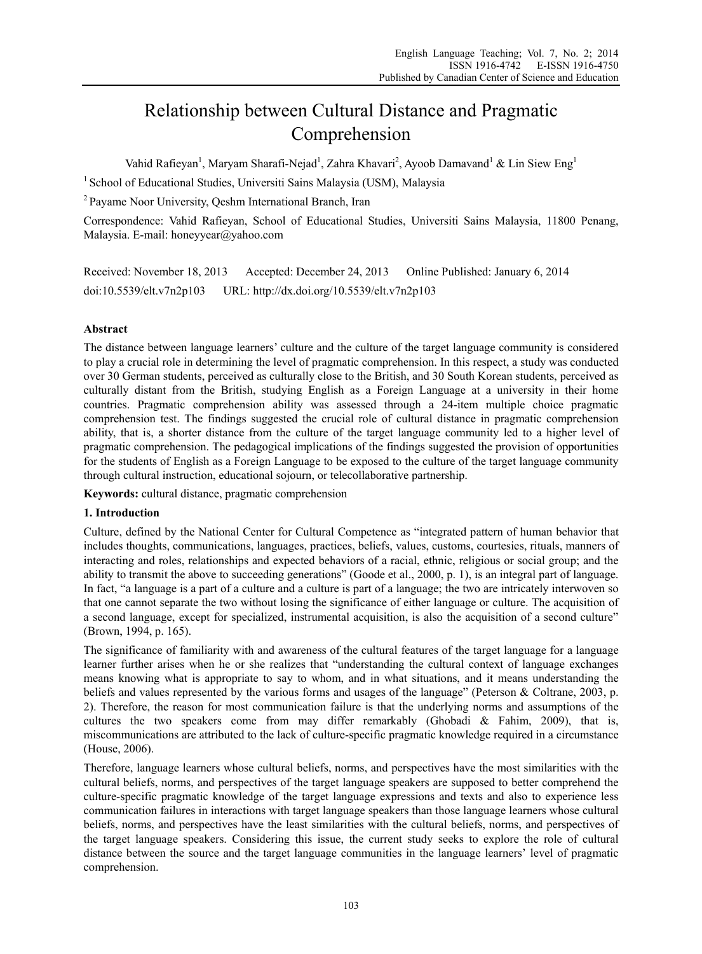# Relationship between Cultural Distance and Pragmatic Comprehension

Vahid Rafieyan<sup>1</sup>, Maryam Sharafi-Nejad<sup>1</sup>, Zahra Khavari<sup>2</sup>, Ayoob Damavand<sup>1</sup> & Lin Siew Eng<sup>1</sup>

<sup>1</sup> School of Educational Studies, Universiti Sains Malaysia (USM), Malaysia

2 Payame Noor University, Qeshm International Branch, Iran

Correspondence: Vahid Rafieyan, School of Educational Studies, Universiti Sains Malaysia, 11800 Penang, Malaysia. E-mail: honeyyear@yahoo.com

Received: November 18, 2013 Accepted: December 24, 2013 Online Published: January 6, 2014 doi:10.5539/elt.v7n2p103 URL: http://dx.doi.org/10.5539/elt.v7n2p103

# **Abstract**

The distance between language learners' culture and the culture of the target language community is considered to play a crucial role in determining the level of pragmatic comprehension. In this respect, a study was conducted over 30 German students, perceived as culturally close to the British, and 30 South Korean students, perceived as culturally distant from the British, studying English as a Foreign Language at a university in their home countries. Pragmatic comprehension ability was assessed through a 24-item multiple choice pragmatic comprehension test. The findings suggested the crucial role of cultural distance in pragmatic comprehension ability, that is, a shorter distance from the culture of the target language community led to a higher level of pragmatic comprehension. The pedagogical implications of the findings suggested the provision of opportunities for the students of English as a Foreign Language to be exposed to the culture of the target language community through cultural instruction, educational sojourn, or telecollaborative partnership.

**Keywords:** cultural distance, pragmatic comprehension

## **1. Introduction**

Culture, defined by the National Center for Cultural Competence as "integrated pattern of human behavior that includes thoughts, communications, languages, practices, beliefs, values, customs, courtesies, rituals, manners of interacting and roles, relationships and expected behaviors of a racial, ethnic, religious or social group; and the ability to transmit the above to succeeding generations" (Goode et al., 2000, p. 1), is an integral part of language. In fact, "a language is a part of a culture and a culture is part of a language; the two are intricately interwoven so that one cannot separate the two without losing the significance of either language or culture. The acquisition of a second language, except for specialized, instrumental acquisition, is also the acquisition of a second culture" (Brown, 1994, p. 165).

The significance of familiarity with and awareness of the cultural features of the target language for a language learner further arises when he or she realizes that "understanding the cultural context of language exchanges means knowing what is appropriate to say to whom, and in what situations, and it means understanding the beliefs and values represented by the various forms and usages of the language" (Peterson & Coltrane, 2003, p. 2). Therefore, the reason for most communication failure is that the underlying norms and assumptions of the cultures the two speakers come from may differ remarkably (Ghobadi & Fahim, 2009), that is, miscommunications are attributed to the lack of culture-specific pragmatic knowledge required in a circumstance (House, 2006).

Therefore, language learners whose cultural beliefs, norms, and perspectives have the most similarities with the cultural beliefs, norms, and perspectives of the target language speakers are supposed to better comprehend the culture-specific pragmatic knowledge of the target language expressions and texts and also to experience less communication failures in interactions with target language speakers than those language learners whose cultural beliefs, norms, and perspectives have the least similarities with the cultural beliefs, norms, and perspectives of the target language speakers. Considering this issue, the current study seeks to explore the role of cultural distance between the source and the target language communities in the language learners' level of pragmatic comprehension.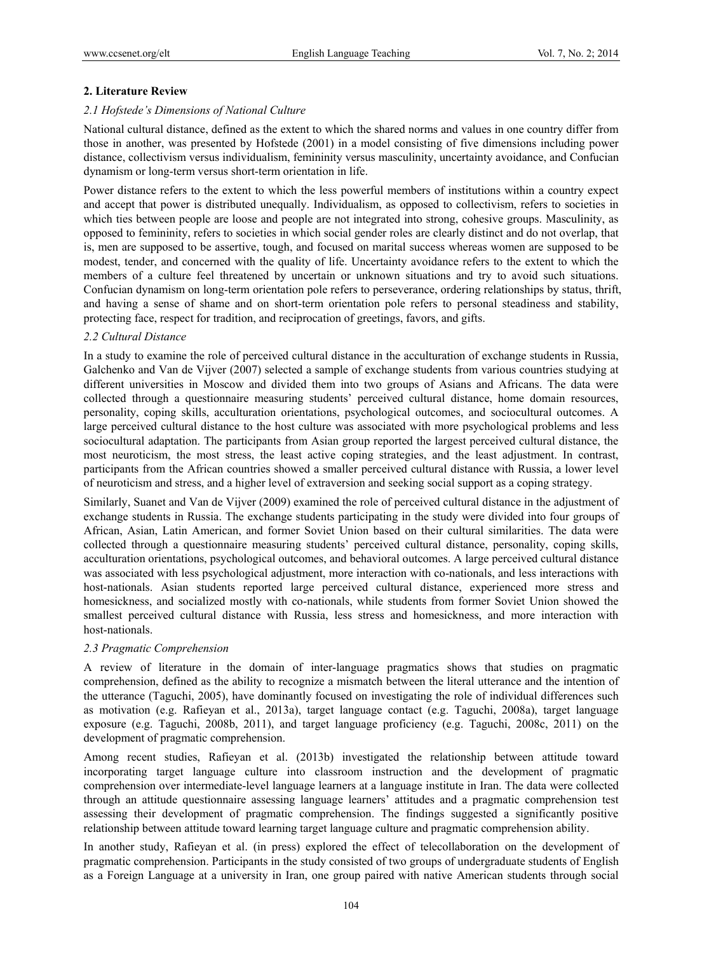## **2. Literature Review**

## *2.1 Hofstede's Dimensions of National Culture*

National cultural distance, defined as the extent to which the shared norms and values in one country differ from those in another, was presented by Hofstede (2001) in a model consisting of five dimensions including power distance, collectivism versus individualism, femininity versus masculinity, uncertainty avoidance, and Confucian dynamism or long-term versus short-term orientation in life.

Power distance refers to the extent to which the less powerful members of institutions within a country expect and accept that power is distributed unequally. Individualism, as opposed to collectivism, refers to societies in which ties between people are loose and people are not integrated into strong, cohesive groups. Masculinity, as opposed to femininity, refers to societies in which social gender roles are clearly distinct and do not overlap, that is, men are supposed to be assertive, tough, and focused on marital success whereas women are supposed to be modest, tender, and concerned with the quality of life. Uncertainty avoidance refers to the extent to which the members of a culture feel threatened by uncertain or unknown situations and try to avoid such situations. Confucian dynamism on long-term orientation pole refers to perseverance, ordering relationships by status, thrift, and having a sense of shame and on short-term orientation pole refers to personal steadiness and stability, protecting face, respect for tradition, and reciprocation of greetings, favors, and gifts.

## *2.2 Cultural Distance*

In a study to examine the role of perceived cultural distance in the acculturation of exchange students in Russia, Galchenko and Van de Vijver (2007) selected a sample of exchange students from various countries studying at different universities in Moscow and divided them into two groups of Asians and Africans. The data were collected through a questionnaire measuring students' perceived cultural distance, home domain resources, personality, coping skills, acculturation orientations, psychological outcomes, and sociocultural outcomes. A large perceived cultural distance to the host culture was associated with more psychological problems and less sociocultural adaptation. The participants from Asian group reported the largest perceived cultural distance, the most neuroticism, the most stress, the least active coping strategies, and the least adjustment. In contrast, participants from the African countries showed a smaller perceived cultural distance with Russia, a lower level of neuroticism and stress, and a higher level of extraversion and seeking social support as a coping strategy.

Similarly, Suanet and Van de Vijver (2009) examined the role of perceived cultural distance in the adjustment of exchange students in Russia. The exchange students participating in the study were divided into four groups of African, Asian, Latin American, and former Soviet Union based on their cultural similarities. The data were collected through a questionnaire measuring students' perceived cultural distance, personality, coping skills, acculturation orientations, psychological outcomes, and behavioral outcomes. A large perceived cultural distance was associated with less psychological adjustment, more interaction with co-nationals, and less interactions with host-nationals. Asian students reported large perceived cultural distance, experienced more stress and homesickness, and socialized mostly with co-nationals, while students from former Soviet Union showed the smallest perceived cultural distance with Russia, less stress and homesickness, and more interaction with host-nationals.

## *2.3 Pragmatic Comprehension*

A review of literature in the domain of inter-language pragmatics shows that studies on pragmatic comprehension, defined as the ability to recognize a mismatch between the literal utterance and the intention of the utterance (Taguchi, 2005), have dominantly focused on investigating the role of individual differences such as motivation (e.g. Rafieyan et al., 2013a), target language contact (e.g. Taguchi, 2008a), target language exposure (e.g. Taguchi, 2008b, 2011), and target language proficiency (e.g. Taguchi, 2008c, 2011) on the development of pragmatic comprehension.

Among recent studies, Rafieyan et al. (2013b) investigated the relationship between attitude toward incorporating target language culture into classroom instruction and the development of pragmatic comprehension over intermediate-level language learners at a language institute in Iran. The data were collected through an attitude questionnaire assessing language learners' attitudes and a pragmatic comprehension test assessing their development of pragmatic comprehension. The findings suggested a significantly positive relationship between attitude toward learning target language culture and pragmatic comprehension ability.

In another study, Rafieyan et al. (in press) explored the effect of telecollaboration on the development of pragmatic comprehension. Participants in the study consisted of two groups of undergraduate students of English as a Foreign Language at a university in Iran, one group paired with native American students through social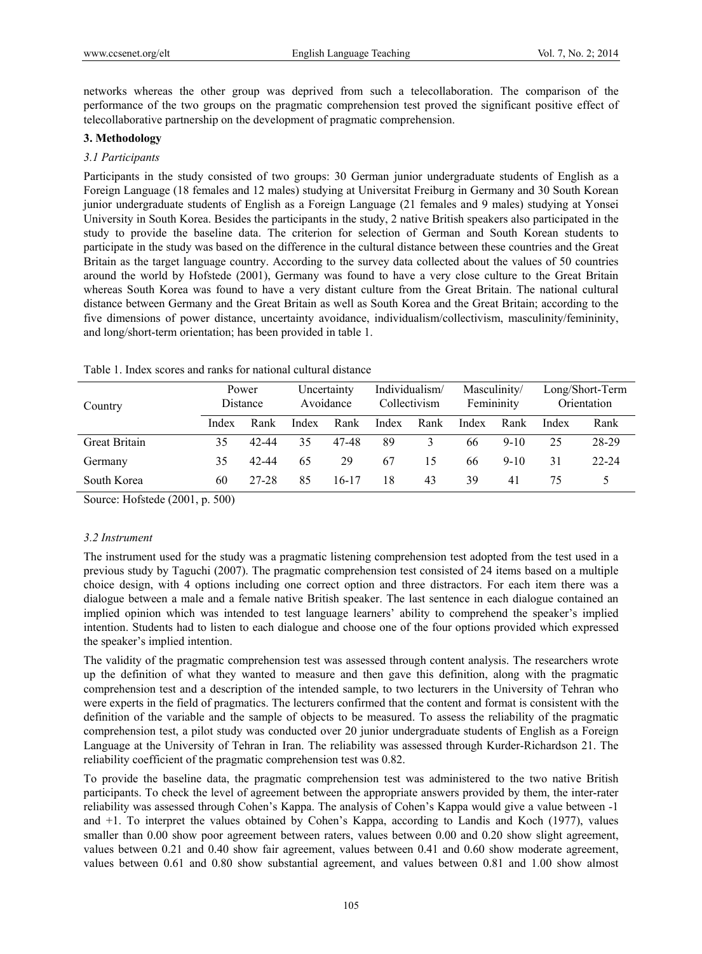networks whereas the other group was deprived from such a telecollaboration. The comparison of the performance of the two groups on the pragmatic comprehension test proved the significant positive effect of telecollaborative partnership on the development of pragmatic comprehension.

## **3. Methodology**

#### *3.1 Participants*

Participants in the study consisted of two groups: 30 German junior undergraduate students of English as a Foreign Language (18 females and 12 males) studying at Universitat Freiburg in Germany and 30 South Korean junior undergraduate students of English as a Foreign Language (21 females and 9 males) studying at Yonsei University in South Korea. Besides the participants in the study, 2 native British speakers also participated in the study to provide the baseline data. The criterion for selection of German and South Korean students to participate in the study was based on the difference in the cultural distance between these countries and the Great Britain as the target language country. According to the survey data collected about the values of 50 countries around the world by Hofstede (2001), Germany was found to have a very close culture to the Great Britain whereas South Korea was found to have a very distant culture from the Great Britain. The national cultural distance between Germany and the Great Britain as well as South Korea and the Great Britain; according to the five dimensions of power distance, uncertainty avoidance, individualism/collectivism, masculinity/femininity, and long/short-term orientation; has been provided in table 1.

| Country              | Power<br>Distance |       | Uncertainty<br>Avoidance |         | Individualism/<br>Collectivism |      | Masculinity/<br>Femininity |          | Long/Short-Term<br>Orientation |           |
|----------------------|-------------------|-------|--------------------------|---------|--------------------------------|------|----------------------------|----------|--------------------------------|-----------|
|                      | Index             | Rank  | Index                    | Rank    | Index                          | Rank | Index                      | Rank     | Index                          | Rank      |
| <b>Great Britain</b> | 35                | 42-44 | 35                       | 47-48   | 89                             | 3    | 66                         | $9 - 10$ | 25                             | 28-29     |
| Germany              | 35                | 42-44 | 65                       | 29      | 67                             | 15   | 66                         | $9 - 10$ | 31                             | $22 - 24$ |
| South Korea          | 60                | 27-28 | 85                       | $16-17$ | 18                             | 43   | 39                         | 41       | 75                             |           |

Table 1. Index scores and ranks for national cultural distance

Source: Hofstede (2001, p. 500)

## *3.2 Instrument*

The instrument used for the study was a pragmatic listening comprehension test adopted from the test used in a previous study by Taguchi (2007). The pragmatic comprehension test consisted of 24 items based on a multiple choice design, with 4 options including one correct option and three distractors. For each item there was a dialogue between a male and a female native British speaker. The last sentence in each dialogue contained an implied opinion which was intended to test language learners' ability to comprehend the speaker's implied intention. Students had to listen to each dialogue and choose one of the four options provided which expressed the speaker's implied intention.

The validity of the pragmatic comprehension test was assessed through content analysis. The researchers wrote up the definition of what they wanted to measure and then gave this definition, along with the pragmatic comprehension test and a description of the intended sample, to two lecturers in the University of Tehran who were experts in the field of pragmatics. The lecturers confirmed that the content and format is consistent with the definition of the variable and the sample of objects to be measured. To assess the reliability of the pragmatic comprehension test, a pilot study was conducted over 20 junior undergraduate students of English as a Foreign Language at the University of Tehran in Iran. The reliability was assessed through Kurder-Richardson 21. The reliability coefficient of the pragmatic comprehension test was 0.82.

To provide the baseline data, the pragmatic comprehension test was administered to the two native British participants. To check the level of agreement between the appropriate answers provided by them, the inter-rater reliability was assessed through Cohen's Kappa. The analysis of Cohen's Kappa would give a value between -1 and +1. To interpret the values obtained by Cohen's Kappa, according to Landis and Koch (1977), values smaller than 0.00 show poor agreement between raters, values between 0.00 and 0.20 show slight agreement, values between 0.21 and 0.40 show fair agreement, values between 0.41 and 0.60 show moderate agreement, values between 0.61 and 0.80 show substantial agreement, and values between 0.81 and 1.00 show almost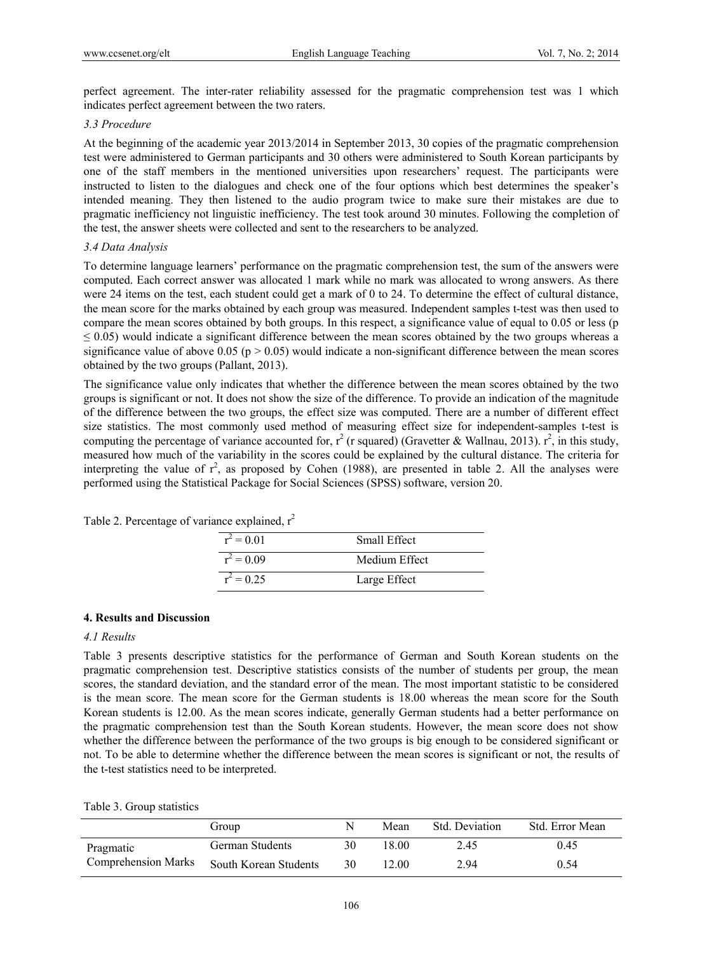perfect agreement. The inter-rater reliability assessed for the pragmatic comprehension test was 1 which indicates perfect agreement between the two raters.

#### *3.3 Procedure*

At the beginning of the academic year 2013/2014 in September 2013, 30 copies of the pragmatic comprehension test were administered to German participants and 30 others were administered to South Korean participants by one of the staff members in the mentioned universities upon researchers' request. The participants were instructed to listen to the dialogues and check one of the four options which best determines the speaker's intended meaning. They then listened to the audio program twice to make sure their mistakes are due to pragmatic inefficiency not linguistic inefficiency. The test took around 30 minutes. Following the completion of the test, the answer sheets were collected and sent to the researchers to be analyzed.

## *3.4 Data Analysis*

To determine language learners' performance on the pragmatic comprehension test, the sum of the answers were computed. Each correct answer was allocated 1 mark while no mark was allocated to wrong answers. As there were 24 items on the test, each student could get a mark of 0 to 24. To determine the effect of cultural distance, the mean score for the marks obtained by each group was measured. Independent samples t-test was then used to compare the mean scores obtained by both groups. In this respect, a significance value of equal to 0.05 or less (p  $\leq$  0.05) would indicate a significant difference between the mean scores obtained by the two groups whereas a significance value of above  $0.05$  (p  $> 0.05$ ) would indicate a non-significant difference between the mean scores obtained by the two groups (Pallant, 2013).

The significance value only indicates that whether the difference between the mean scores obtained by the two groups is significant or not. It does not show the size of the difference. To provide an indication of the magnitude of the difference between the two groups, the effect size was computed. There are a number of different effect size statistics. The most commonly used method of measuring effect size for independent-samples t-test is computing the percentage of variance accounted for,  $r^2$  (r squared) (Gravetter & Wallnau, 2013).  $r^2$ , in this study, measured how much of the variability in the scores could be explained by the cultural distance. The criteria for interpreting the value of  $r^2$ , as proposed by Cohen (1988), are presented in table 2. All the analyses were performed using the Statistical Package for Social Sciences (SPSS) software, version 20.

| $r^2 = 0.01$ | Small Effect  |
|--------------|---------------|
| $r^2 = 0.09$ | Medium Effect |
| $r^2 = 0.25$ | Large Effect  |

Table 2. Percentage of variance explained,  $r^2$ 

## **4. Results and Discussion**

#### *4.1 Results*

Table 3 presents descriptive statistics for the performance of German and South Korean students on the pragmatic comprehension test. Descriptive statistics consists of the number of students per group, the mean scores, the standard deviation, and the standard error of the mean. The most important statistic to be considered is the mean score. The mean score for the German students is 18.00 whereas the mean score for the South Korean students is 12.00. As the mean scores indicate, generally German students had a better performance on the pragmatic comprehension test than the South Korean students. However, the mean score does not show whether the difference between the performance of the two groups is big enough to be considered significant or not. To be able to determine whether the difference between the mean scores is significant or not, the results of the t-test statistics need to be interpreted.

| Table 3. Group statistics |  |  |  |
|---------------------------|--|--|--|
|---------------------------|--|--|--|

|                                         | Group                 |    | Mean   | <b>Std.</b> Deviation | Std. Error Mean |
|-----------------------------------------|-----------------------|----|--------|-----------------------|-----------------|
| Pragmatic<br><b>Comprehension Marks</b> | German Students       |    | 18 00. | 2.45                  | 0.45            |
|                                         | South Korean Students | 30 | 12.00  | 2.94                  | 0.54            |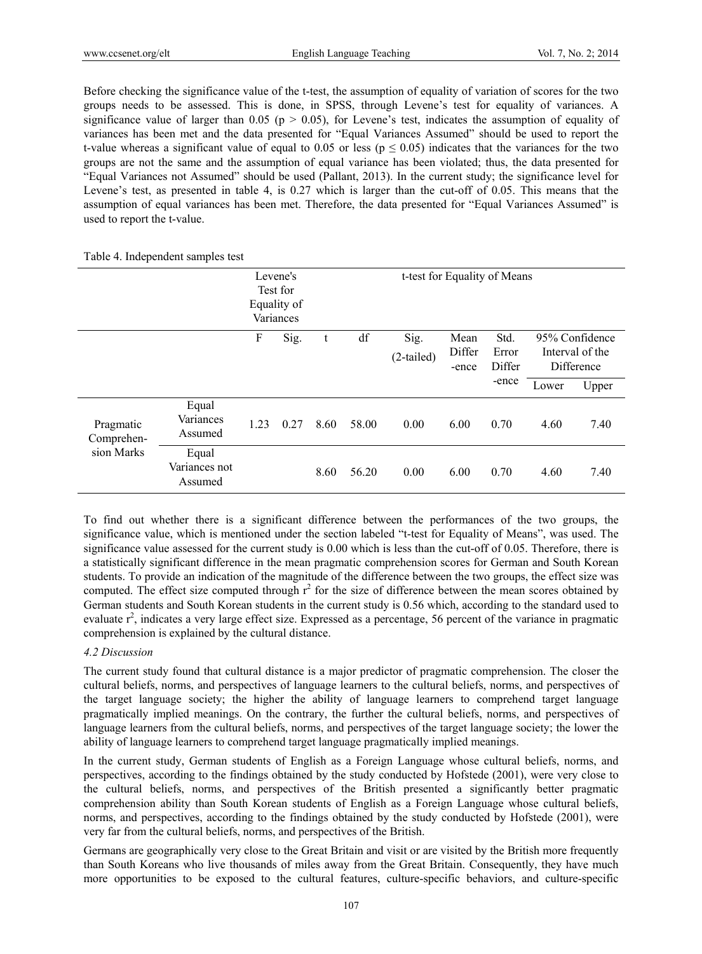Before checking the significance value of the t-test, the assumption of equality of variation of scores for the two groups needs to be assessed. This is done, in SPSS, through Levene's test for equality of variances. A significance value of larger than 0.05 ( $p > 0.05$ ), for Levene's test, indicates the assumption of equality of variances has been met and the data presented for "Equal Variances Assumed" should be used to report the t-value whereas a significant value of equal to 0.05 or less ( $p \le 0.05$ ) indicates that the variances for the two groups are not the same and the assumption of equal variance has been violated; thus, the data presented for "Equal Variances not Assumed" should be used (Pallant, 2013). In the current study; the significance level for Levene's test, as presented in table 4, is 0.27 which is larger than the cut-off of 0.05. This means that the assumption of equal variances has been met. Therefore, the data presented for "Equal Variances Assumed" is used to report the t-value.

Table 4. Independent samples test

|                                       |                                   |      | Levene's<br>Test for<br>Equality of<br>Variances | t-test for Equality of Means |       |                      |                         |                         |                                                 |       |  |
|---------------------------------------|-----------------------------------|------|--------------------------------------------------|------------------------------|-------|----------------------|-------------------------|-------------------------|-------------------------------------------------|-------|--|
|                                       |                                   | F    | Sig.                                             | t                            | df    | Sig.<br>$(2-tailed)$ | Mean<br>Differ<br>-ence | Std.<br>Error<br>Differ | 95% Confidence<br>Interval of the<br>Difference |       |  |
|                                       |                                   |      |                                                  |                              |       |                      |                         | -ence                   | Lower                                           | Upper |  |
| Pragmatic<br>Comprehen-<br>sion Marks | Equal<br>Variances<br>Assumed     | 1.23 | 0.27                                             | 8.60                         | 58.00 | 0.00                 | 6.00                    | 0.70                    | 4.60                                            | 7.40  |  |
|                                       | Equal<br>Variances not<br>Assumed |      |                                                  | 8.60                         | 56.20 | 0.00                 | 6.00                    | 0.70                    | 4.60                                            | 7.40  |  |

To find out whether there is a significant difference between the performances of the two groups, the significance value, which is mentioned under the section labeled "t-test for Equality of Means", was used. The significance value assessed for the current study is 0.00 which is less than the cut-off of 0.05. Therefore, there is a statistically significant difference in the mean pragmatic comprehension scores for German and South Korean students. To provide an indication of the magnitude of the difference between the two groups, the effect size was computed. The effect size computed through  $r^2$  for the size of difference between the mean scores obtained by German students and South Korean students in the current study is 0.56 which, according to the standard used to evaluate  $r^2$ , indicates a very large effect size. Expressed as a percentage, 56 percent of the variance in pragmatic comprehension is explained by the cultural distance.

## *4.2 Discussion*

The current study found that cultural distance is a major predictor of pragmatic comprehension. The closer the cultural beliefs, norms, and perspectives of language learners to the cultural beliefs, norms, and perspectives of the target language society; the higher the ability of language learners to comprehend target language pragmatically implied meanings. On the contrary, the further the cultural beliefs, norms, and perspectives of language learners from the cultural beliefs, norms, and perspectives of the target language society; the lower the ability of language learners to comprehend target language pragmatically implied meanings.

In the current study, German students of English as a Foreign Language whose cultural beliefs, norms, and perspectives, according to the findings obtained by the study conducted by Hofstede (2001), were very close to the cultural beliefs, norms, and perspectives of the British presented a significantly better pragmatic comprehension ability than South Korean students of English as a Foreign Language whose cultural beliefs, norms, and perspectives, according to the findings obtained by the study conducted by Hofstede (2001), were very far from the cultural beliefs, norms, and perspectives of the British.

Germans are geographically very close to the Great Britain and visit or are visited by the British more frequently than South Koreans who live thousands of miles away from the Great Britain. Consequently, they have much more opportunities to be exposed to the cultural features, culture-specific behaviors, and culture-specific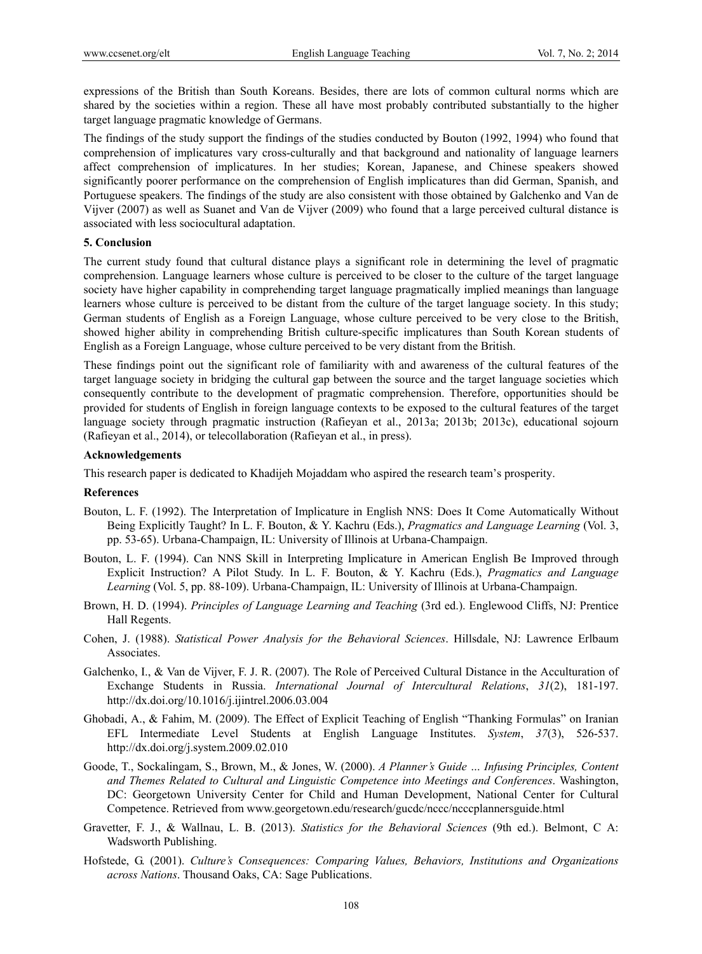expressions of the British than South Koreans. Besides, there are lots of common cultural norms which are shared by the societies within a region. These all have most probably contributed substantially to the higher target language pragmatic knowledge of Germans.

The findings of the study support the findings of the studies conducted by Bouton (1992, 1994) who found that comprehension of implicatures vary cross-culturally and that background and nationality of language learners affect comprehension of implicatures. In her studies; Korean, Japanese, and Chinese speakers showed significantly poorer performance on the comprehension of English implicatures than did German, Spanish, and Portuguese speakers. The findings of the study are also consistent with those obtained by Galchenko and Van de Vijver (2007) as well as Suanet and Van de Vijver (2009) who found that a large perceived cultural distance is associated with less sociocultural adaptation.

## **5. Conclusion**

The current study found that cultural distance plays a significant role in determining the level of pragmatic comprehension. Language learners whose culture is perceived to be closer to the culture of the target language society have higher capability in comprehending target language pragmatically implied meanings than language learners whose culture is perceived to be distant from the culture of the target language society. In this study; German students of English as a Foreign Language, whose culture perceived to be very close to the British, showed higher ability in comprehending British culture-specific implicatures than South Korean students of English as a Foreign Language, whose culture perceived to be very distant from the British.

These findings point out the significant role of familiarity with and awareness of the cultural features of the target language society in bridging the cultural gap between the source and the target language societies which consequently contribute to the development of pragmatic comprehension. Therefore, opportunities should be provided for students of English in foreign language contexts to be exposed to the cultural features of the target language society through pragmatic instruction (Rafieyan et al., 2013a; 2013b; 2013c), educational sojourn (Rafieyan et al., 2014), or telecollaboration (Rafieyan et al., in press).

#### **Acknowledgements**

This research paper is dedicated to Khadijeh Mojaddam who aspired the research team's prosperity.

## **References**

- Bouton, L. F. (1992). The Interpretation of Implicature in English NNS: Does It Come Automatically Without Being Explicitly Taught? In L. F. Bouton, & Y. Kachru (Eds.), *Pragmatics and Language Learning* (Vol. 3, pp. 53-65). Urbana-Champaign, IL: University of Illinois at Urbana-Champaign.
- Bouton, L. F. (1994). Can NNS Skill in Interpreting Implicature in American English Be Improved through Explicit Instruction? A Pilot Study. In L. F. Bouton, & Y. Kachru (Eds.), *Pragmatics and Language Learning* (Vol. 5, pp. 88-109). Urbana-Champaign, IL: University of Illinois at Urbana-Champaign.
- Brown, H. D. (1994). *Principles of Language Learning and Teaching* (3rd ed.). Englewood Cliffs, NJ: Prentice Hall Regents.
- Cohen, J. (1988). *Statistical Power Analysis for the Behavioral Sciences*. Hillsdale, NJ: Lawrence Erlbaum Associates.
- Galchenko, I., & Van de Vijver, F. J. R. (2007). The Role of Perceived Cultural Distance in the Acculturation of Exchange Students in Russia. *International Journal of Intercultural Relations*, *31*(2), 181-197. http://dx.doi.org/10.1016/j.ijintrel.2006.03.004
- Ghobadi, A., & Fahim, M. (2009). The Effect of Explicit Teaching of English "Thanking Formulas" on Iranian EFL Intermediate Level Students at English Language Institutes. *System*, *37*(3), 526-537. http://dx.doi.org/j.system.2009.02.010
- Goode, T., Sockalingam, S., Brown, M., & Jones, W. (2000). *A Planner's Guide … Infusing Principles, Content and Themes Related to Cultural and Linguistic Competence into Meetings and Conferences*. Washington, DC: Georgetown University Center for Child and Human Development, National Center for Cultural Competence. Retrieved from www.georgetown.edu/research/gucdc/nccc/ncccplannersguide.html
- Gravetter, F. J., & Wallnau, L. B. (2013). *Statistics for the Behavioral Sciences* (9th ed.). Belmont, C A: Wadsworth Publishing.
- Hofstede, G. (2001). *Culture's Consequences: Comparing Values, Behaviors, Institutions and Organizations across Nations*. Thousand Oaks, CA: Sage Publications.